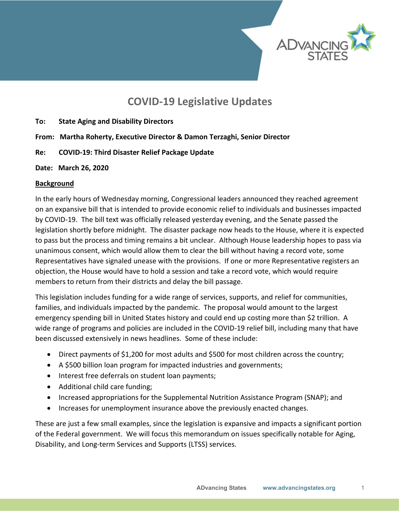

# **COVID-19 Legislative Updates**

- **To: State Aging and Disability Directors**
- **From: Martha Roherty, Executive Director & Damon Terzaghi, Senior Director**
- **Re: COVID-19: Third Disaster Relief Package Update**
- **Date: March 26, 2020**

#### **Background**

In the early hours of Wednesday morning, Congressional leaders announced they reached agreement on an expansive bill that is intended to provide economic relief to individuals and businesses impacted by COVID-19. The bill text was officially released yesterday evening, and the Senate passed the legislation shortly before midnight. The disaster package now heads to the House, where it is expected to pass but the process and timing remains a bit unclear. Although House leadership hopes to pass via unanimous consent, which would allow them to clear the bill without having a record vote, some Representatives have signaled unease with the provisions. If one or more Representative registers an objection, the House would have to hold a session and take a record vote, which would require members to return from their districts and delay the bill passage.

This legislation includes funding for a wide range of services, supports, and relief for communities, families, and individuals impacted by the pandemic. The proposal would amount to the largest emergency spending bill in United States history and could end up costing more than \$2 trillion. A wide range of programs and policies are included in the COVID-19 relief bill, including many that have been discussed extensively in news headlines. Some of these include:

- Direct payments of \$1,200 for most adults and \$500 for most children across the country;
- A \$500 billion loan program for impacted industries and governments;
- Interest free deferrals on student loan payments;
- Additional child care funding;
- Increased appropriations for the Supplemental Nutrition Assistance Program (SNAP); and
- Increases for unemployment insurance above the previously enacted changes.

These are just a few small examples, since the legislation is expansive and impacts a significant portion of the Federal government. We will focus this memorandum on issues specifically notable for Aging, Disability, and Long-term Services and Supports (LTSS) services.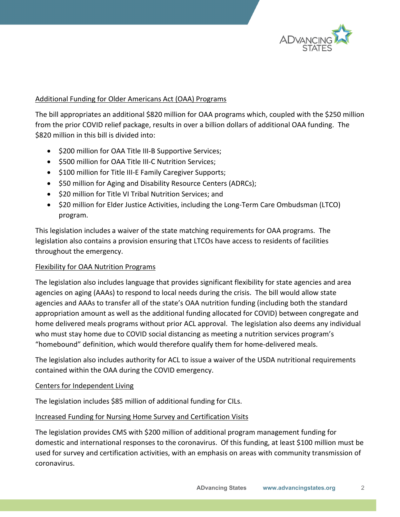

# Additional Funding for Older Americans Act (OAA) Programs

The bill appropriates an additional \$820 million for OAA programs which, coupled with the \$250 million from the prior COVID relief package, results in over a billion dollars of additional OAA funding. The \$820 million in this bill is divided into:

- \$200 million for OAA Title III-B Supportive Services;
- \$500 million for OAA Title III-C Nutrition Services;
- \$100 million for Title III-E Family Caregiver Supports;
- \$50 million for Aging and Disability Resource Centers (ADRCs);
- \$20 million for Title VI Tribal Nutrition Services; and
- \$20 million for Elder Justice Activities, including the Long-Term Care Ombudsman (LTCO) program.

This legislation includes a waiver of the state matching requirements for OAA programs. The legislation also contains a provision ensuring that LTCOs have access to residents of facilities throughout the emergency.

# Flexibility for OAA Nutrition Programs

The legislation also includes language that provides significant flexibility for state agencies and area agencies on aging (AAAs) to respond to local needs during the crisis. The bill would allow state agencies and AAAs to transfer all of the state's OAA nutrition funding (including both the standard appropriation amount as well as the additional funding allocated for COVID) between congregate and home delivered meals programs without prior ACL approval. The legislation also deems any individual who must stay home due to COVID social distancing as meeting a nutrition services program's "homebound" definition, which would therefore qualify them for home-delivered meals.

The legislation also includes authority for ACL to issue a waiver of the USDA nutritional requirements contained within the OAA during the COVID emergency.

# Centers for Independent Living

The legislation includes \$85 million of additional funding for CILs.

# Increased Funding for Nursing Home Survey and Certification Visits

The legislation provides CMS with \$200 million of additional program management funding for domestic and international responses to the coronavirus. Of this funding, at least \$100 million must be used for survey and certification activities, with an emphasis on areas with community transmission of coronavirus.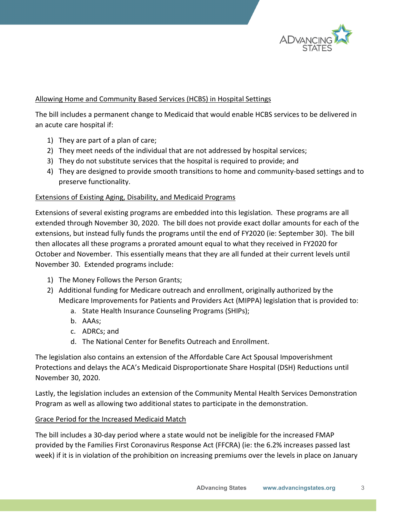

# Allowing Home and Community Based Services (HCBS) in Hospital Settings

The bill includes a permanent change to Medicaid that would enable HCBS services to be delivered in an acute care hospital if:

- 1) They are part of a plan of care;
- 2) They meet needs of the individual that are not addressed by hospital services;
- 3) They do not substitute services that the hospital is required to provide; and
- 4) They are designed to provide smooth transitions to home and community-based settings and to preserve functionality.

#### Extensions of Existing Aging, Disability, and Medicaid Programs

Extensions of several existing programs are embedded into this legislation. These programs are all extended through November 30, 2020. The bill does not provide exact dollar amounts for each of the extensions, but instead fully funds the programs until the end of FY2020 (ie: September 30). The bill then allocates all these programs a prorated amount equal to what they received in FY2020 for October and November. This essentially means that they are all funded at their current levels until November 30. Extended programs include:

- 1) The Money Follows the Person Grants;
- 2) Additional funding for Medicare outreach and enrollment, originally authorized by the Medicare Improvements for Patients and Providers Act (MIPPA) legislation that is provided to:
	- a. State Health Insurance Counseling Programs (SHIPs);
	- b. AAAs;
	- c. ADRCs; and
	- d. The National Center for Benefits Outreach and Enrollment.

The legislation also contains an extension of the Affordable Care Act Spousal Impoverishment Protections and delays the ACA's Medicaid Disproportionate Share Hospital (DSH) Reductions until November 30, 2020.

Lastly, the legislation includes an extension of the Community Mental Health Services Demonstration Program as well as allowing two additional states to participate in the demonstration.

# Grace Period for the Increased Medicaid Match

The bill includes a 30-day period where a state would not be ineligible for the increased FMAP provided by the Families First Coronavirus Response Act (FFCRA) (ie: the 6.2% increases passed last week) if it is in violation of the prohibition on increasing premiums over the levels in place on January